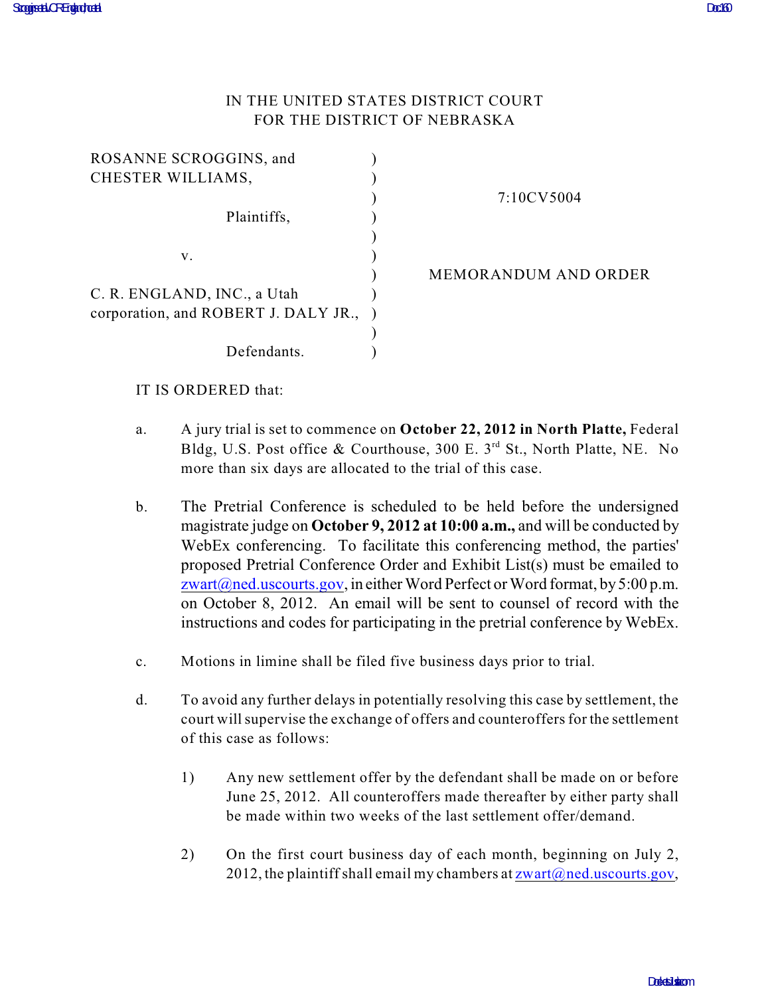## IN THE UNITED STATES DISTRICT COURT FOR THE DISTRICT OF NEBRASKA

| ROSANNE SCROGGINS, and               |                             |
|--------------------------------------|-----------------------------|
| CHESTER WILLIAMS,                    |                             |
|                                      | 7:10CV5004                  |
| Plaintiffs,                          |                             |
|                                      |                             |
| V.                                   |                             |
|                                      | <b>MEMORANDUM AND ORDER</b> |
| C. R. ENGLAND, INC., a Utah          |                             |
| corporation, and ROBERT J. DALY JR., |                             |
|                                      |                             |
| Defendants.                          |                             |
|                                      |                             |

## IT IS ORDERED that:

- a. A jury trial is set to commence on **October 22, 2012 in North Platte,** Federal Bldg, U.S. Post office & Courthouse, 300 E. 3<sup>rd</sup> St., North Platte, NE. No more than six days are allocated to the trial of this case.
- b. The Pretrial Conference is scheduled to be held before the undersigned magistrate judge on **October 9, 2012 at 10:00 a.m.,** and will be conducted by WebEx conferencing. To facilitate this conferencing method, the parties' proposed Pretrial Conference Order and Exhibit List(s) must be emailed to [zwart@ned.uscourts.gov](mailto:zwart@ned.uscourts.gov), in either Word Perfect or Word format, by 5:00 p.m. on October 8, 2012. An email will be sent to counsel of record with the instructions and codes for participating in the pretrial conference by WebEx.
- c. Motions in limine shall be filed five business days prior to trial.
- d. To avoid any further delays in potentially resolving this case by settlement, the court will supervise the exchange of offers and counteroffers for the settlement of this case as follows:
	- 1) Any new settlement offer by the defendant shall be made on or before June 25, 2012. All counteroffers made thereafter by either party shall be made within two weeks of the last settlement offer/demand.
	- 2) On the first court business day of each month, beginning on July 2, 2012, the plaintiff shall email my chambers at  $z \text{wart}(\vec{a})$  ned.uscourts.gov,